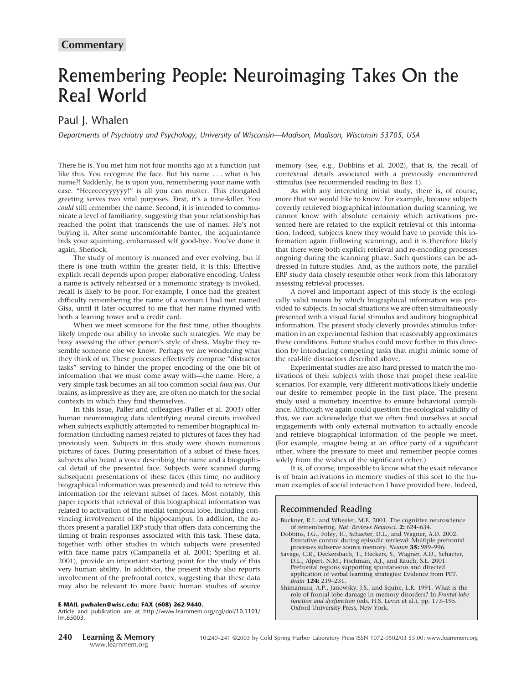## **Commentary**

# Remembering People: Neuroimaging Takes On the Real World

## Paul J. Whalen

*Departments of Psychiatry and Psychology, University of Wisconsin—Madison, Madison, Wisconsin 53705, USA*

There he is. You met him not four months ago at a function just like this. You recognize the face. But his name . . . what is his name?! Suddenly, he is upon you, remembering your name with ease. "Heeeeeeyyyyyy!" is all you can muster. This elongated greeting serves two vital purposes. First, it's a time-killer. You *could* still remember the name. Second, it is intended to communicate a level of familiarity, suggesting that your relationship has reached the point that transcends the use of names. He's not buying it. After some uncomfortable banter, the acquaintance bids your squirming, embarrassed self good-bye. You've done it again, Sherlock.

The study of memory is nuanced and ever evolving, but if there is one truth within the greater field, it is this: Effective explicit recall depends upon proper elaborative encoding. Unless a name is actively rehearsed or a mnemonic strategy is invoked, recall is likely to be poor. For example, I once had the greatest difficulty remembering the name of a woman I had met named Gisa, until it later occurred to me that her name rhymed with both a leaning tower and a credit card.

When we meet someone for the first time, other thoughts likely impede our ability to invoke such strategies. We may be busy assessing the other person's style of dress. Maybe they resemble someone else we know. Perhaps we are wondering what they think of us. These processes effectively comprise "distractor tasks" serving to hinder the proper encoding of the one bit of information that we must come away with—the name. Here, a very simple task becomes an all too common social *faux pas*. Our brains, as impressive as they are, are often no match for the social contexts in which they find themselves.

In this issue, Paller and colleagues (Paller et al. 2003) offer human neuroimaging data identifying neural circuits involved when subjects explicitly attempted to remember biographical information (including names) related to pictures of faces they had previously seen. Subjects in this study were shown numerous pictures of faces. During presentation of a subset of these faces, subjects also heard a voice describing the name and a biographical detail of the presented face. Subjects were scanned during subsequent presentations of these faces (this time, no auditory biographical information was presented) and told to retrieve this information for the relevant subset of faces. Most notably, this paper reports that retrieval of this biographical information was related to activation of the medial temporal lobe, including convincing involvement of the hippocampus. In addition, the authors present a parallel ERP study that offers data concerning the timing of brain responses associated with this task. These data, together with other studies in which subjects were presented with face–name pairs (Campanella et al. 2001; Sperling et al. 2001), provide an important starting point for the study of this very human ability. In addition, the present study also reports involvement of the prefrontal cortex, suggesting that these data may also be relevant to more basic human studies of source

#### **E-MAIL pwhalen@wisc.edu; FAX (608) 262-9440.**

Article and publication are at http://www.learnmem.org/cgi/doi/10.1101/ lm.65003.

memory (see, e.g., Dobbins et al. 2002), that is, the recall of contextual details associated with a previously encountered stimulus (see recommended reading in Box 1).

As with any interesting initial study, there is, of course, more that we would like to know. For example, because subjects covertly retrieved biographical information during scanning, we cannot know with absolute certainty which activations presented here are related to the explicit retrieval of this information. Indeed, subjects knew they would have to provide this information again (following scanning), and it is therefore likely that there were both explicit retrieval and re-encoding processes ongoing during the scanning phase. Such questions can be addressed in future studies. And, as the authors note, the parallel ERP study data closely resemble other work from this laboratory assessing retrieval processes.

A novel and important aspect of this study is the ecologically valid means by which biographical information was provided to subjects. In social situations we are often simultaneously presented with a visual facial stimulus and auditory biographical information. The present study cleverly provides stimulus information in an experimental fashion that reasonably approximates these conditions. Future studies could move further in this direction by introducing competing tasks that might mimic some of the real-life distractors described above.

Experimental studies are also hard pressed to match the motivations of their subjects with those that propel these real-life scenarios. For example, very different motivations likely underlie our desire to remember people in the first place. The present study used a monetary incentive to ensure behavioral compliance. Although we again could question the ecological validity of this, we can acknowledge that we often find ourselves at social engagements with only external motivation to actually encode and retrieve biographical information of the people we meet. (For example, imagine being at an office party of a significant other, where the pressure to meet and remember people comes solely from the wishes of the significant other.)

It is, of course, impossible to know what the exact relevance is of brain activations in memory studies of this sort to the human examples of social interaction I have provided here. Indeed,

#### Recommended Reading

- Buckner, R.L. and Wheeler, M.E. 2001. The cognitive neuroscience of remembering. *Nat. Reviews Neurosci.* **2:** 624–634.
- Dobbins, I.G., Foley, H., Schacter, D.L., and Wagner, A.D. 2002. Executive control during episodic retrieval: Multiple prefrontal processes subserve source memory. *Neuron* **35:** 989–996.
- Savage, C.R., Deckersbach, T., Heckers, S., Wagner, A.D., Schacter, D.L., Alpert, N.M., Fischman, A.J., and Rauch, S.L. 2001. Prefrontal regions supporting spontaneous and directed application of verbal learning strategies: Evidence from PET. *Brain* **124:** 219–231.
- Shimamura, A.P., Janowsky, J.S., and Squire, L.R. 1991. What is the role of frontal lobe damage in memory disorders? In *Frontal lobe function and dysfunction* (eds. H.S. Levin et al.), pp. 173–195. Oxford University Press, New York.